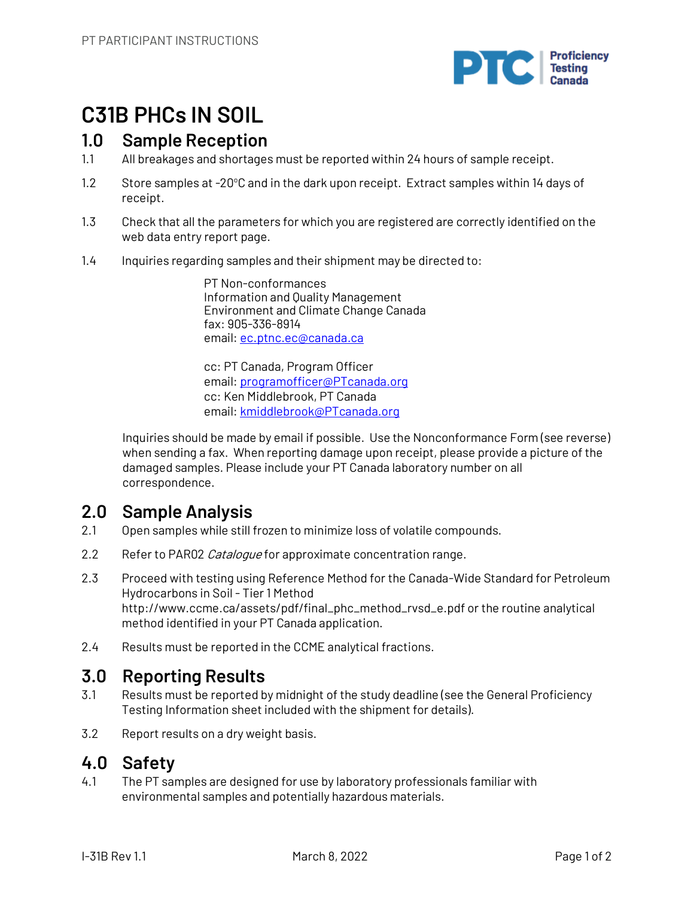

# **C31B PHCs IN SOIL**

## **1.0 Sample Reception**

- 1.1 All breakages and shortages must be reported within 24 hours of sample receipt.
- 1.2 Store samples at -20°C and in the dark upon receipt. Extract samples within 14 days of receipt.
- 1.3 Check that all the parameters for which you are registered are correctly identified on the web data entry report page.
- 1.4 Inquiries regarding samples and their shipment may be directed to:

PT Non-conformances Information and Quality Management Environment and Climate Change Canada fax: 905-336-8914 email: ec.ptnc.ec@canada.ca

cc: PT Canada, Program Officer email: programofficer@PTcanada.org cc: Ken Middlebrook, PT Canada email: kmiddlebrook@PTcanada.org

Inquiries should be made by email if possible. Use the Nonconformance Form (see reverse) when sending a fax. When reporting damage upon receipt, please provide a picture of the damaged samples. Please include your PT Canada laboratory number on all correspondence.

## **2.0 Sample Analysis**

- 2.1 Open samples while still frozen to minimize loss of volatile compounds.
- 2.2 Refer to PAR02 Catalogue for approximate concentration range.
- 2.3 Proceed with testing using Reference Method for the Canada-Wide Standard for Petroleum Hydrocarbons in Soil - Tier 1 Method http://www.ccme.ca/assets/pdf/final\_phc\_method\_rvsd\_e.pdf or the routine analytical method identified in your PT Canada application.
- 2.4 Results must be reported in the CCME analytical fractions.

### **3.0 Reporting Results**

- 3.1 Results must be reported by midnight of the study deadline (see the General Proficiency Testing Information sheet included with the shipment for details).
- 3.2 Report results on a dry weight basis.

### **4.0 Safety**

4.1 The PT samples are designed for use by laboratory professionals familiar with environmental samples and potentially hazardous materials.